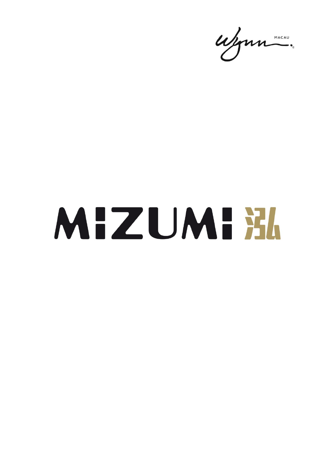ujun.

## MIZUMI X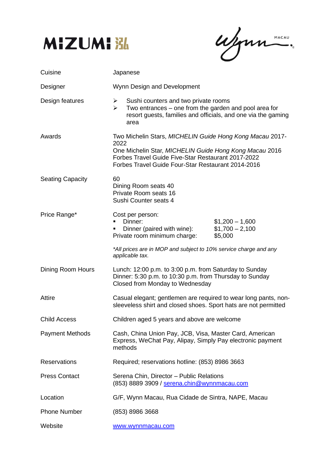

ufonne.

| Cuisine                 | Japanese                                                                                                                                                                                        |
|-------------------------|-------------------------------------------------------------------------------------------------------------------------------------------------------------------------------------------------|
| Designer                | Wynn Design and Development                                                                                                                                                                     |
| Design features         | Sushi counters and two private rooms<br>$\triangleright$<br>Two entrances - one from the garden and pool area for<br>≻<br>resort guests, families and officials, and one via the gaming<br>area |
| Awards                  | Two Michelin Stars, MICHELIN Guide Hong Kong Macau 2017-<br>2022<br>One Michelin Star, MICHELIN Guide Hong Kong Macau 2016<br>Forbes Travel Guide Five-Star Restaurant 2017-2022                |
|                         | Forbes Travel Guide Four-Star Restaurant 2014-2016                                                                                                                                              |
| <b>Seating Capacity</b> | 60<br>Dining Room seats 40<br>Private Room seats 16<br>Sushi Counter seats 4                                                                                                                    |
| Price Range*            | Cost per person:<br>Dinner:<br>$$1,200 - 1,600$<br>Dinner (paired with wine):<br>$$1,700 - 2,100$<br>Private room minimum charge:<br>\$5,000                                                    |
|                         | *All prices are in MOP and subject to 10% service charge and any<br>applicable tax.                                                                                                             |
| Dining Room Hours       | Lunch: 12:00 p.m. to 3:00 p.m. from Saturday to Sunday<br>Dinner: 5:30 p.m. to 10:30 p.m. from Thursday to Sunday<br>Closed from Monday to Wednesday                                            |
| Attire                  | Casual elegant; gentlemen are required to wear long pants, non-<br>sleeveless shirt and closed shoes. Sport hats are not permitted                                                              |
| <b>Child Access</b>     | Children aged 5 years and above are welcome                                                                                                                                                     |
| <b>Payment Methods</b>  | Cash, China Union Pay, JCB, Visa, Master Card, American<br>Express, WeChat Pay, Alipay, Simply Pay electronic payment<br>methods                                                                |
| <b>Reservations</b>     | Required; reservations hotline: (853) 8986 3663                                                                                                                                                 |
| <b>Press Contact</b>    | Serena Chin, Director - Public Relations<br>(853) 8889 3909 / serena.chin@wynnmacau.com                                                                                                         |
| Location                | G/F, Wynn Macau, Rua Cidade de Sintra, NAPE, Macau                                                                                                                                              |
| <b>Phone Number</b>     | (853) 8986 3668                                                                                                                                                                                 |
| Website                 | www.wynnmacau.com                                                                                                                                                                               |